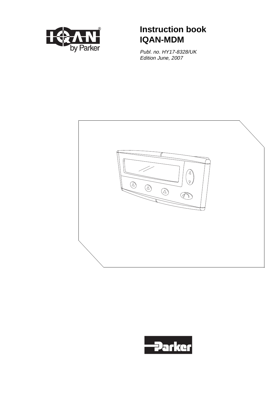

# ® **Instruction book IQAN-MDM**

Publ. no. HY17-8328/UK Edition June, 2007



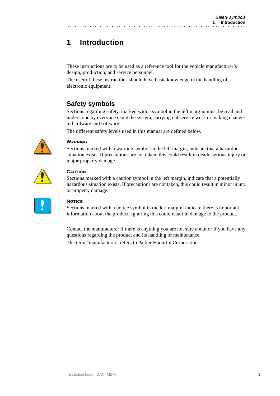# **1 Introduction**

These instructions are to be used as a reference tool for the vehicle manufacturer's design, production, and service personnel.

The user of these instructions should have basic knowledge in the handling of electronic equipment.

# **Safety symbols**

Sections regarding safety, marked with a symbol in the left margin, must be read and understood by everyone using the system, carrying out service work or making changes to hardware and software.

The different safety levels used in this manual are defined below.

. . . . . . . . . . . . . . . . .



### **WARNING**

Sections marked with a warning symbol in the left margin, indicate that a hazardous situation exists. If precautions are not taken, this could result in death, serious injury or major property damage.



### **CAUTION**

Sections marked with a caution symbol in the left margin, indicate that a potentially hazardous situation exists. If precautions are not taken, this could result in minor injury or property damage.

| ______ |  |
|--------|--|
|        |  |
|        |  |
|        |  |

### **NOTICE**

Sections marked with a notice symbol in the left margin, indicate there is important information about the product. Ignoring this could result in damage to the product.

Contact the manufacturer if there is anything you are not sure about or if you have any questions regarding the product and its handling or maintenance.

The term "manufacturer" refers to Parker Hannifin Corporation.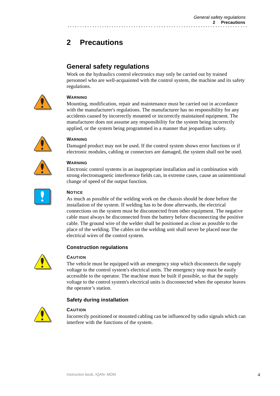# **2 Precautions**

## **General safety regulations**

Work on the hydraulics control electronics may only be carried out by trained personnel who are well-acquainted with the control system, the machine and its safety regulations.



### **WARNING**

Mounting, modification, repair and maintenance must be carried out in accordance with the manufacturer's regulations. The manufacturer has no responsibility for any accidents caused by incorrectly mounted or incorrectly maintained equipment. The manufacturer does not assume any responsibility for the system being incorrectly applied, or the system being programmed in a manner that jeopardizes safety.



### **WARNING**

Damaged product may not be used. If the control system shows error functions or if electronic modules, cabling or connectors are damaged, the system shall not be used.

## **WARNING**

Electronic control systems in an inappropriate installation and in combination with strong electromagnetic interference fields can, in extreme cases, cause an unintentional change of speed of the output function.



### **NOTICE**

As much as possible of the welding work on the chassis should be done before the installation of the system. If welding has to be done afterwards, the electrical connections on the system must be disconnected from other equipment. The negative cable must always be disconnected from the battery before disconnecting the positive cable. The ground wire of the welder shall be positioned as close as possible to the place of the welding. The cables on the welding unit shall never be placed near the electrical wires of the control system.

### **Construction regulations**



### **CAUTION**

The vehicle must be equipped with an emergency stop which disconnects the supply voltage to the control system's electrical units. The emergency stop must be easily accessible to the operator. The machine must be built if possible, so that the supply voltage to the control system's electrical units is disconnected when the operator leaves the operator's station.

### **Safety during installation**



### **CAUTION**

Incorrectly positioned or mounted cabling can be influenced by radio signals which can interfere with the functions of the system.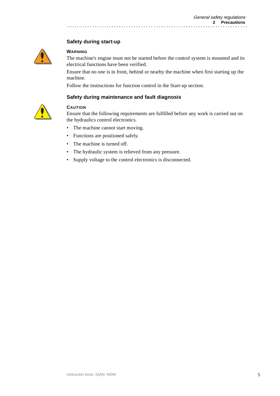### **Safety during start-up**



#### **WARNING**

The machine's engine must not be started before the control system is mounted and its electrical functions have been verified.

Ensure that no one is in front, behind or nearby the machine when first starting up the machine.

Follow the instructions for function control in the Start-up section.

. . . . . . . . . . . . . . . .

#### **Safety during maintenance and fault diagnosis**



### **CAUTION**

Ensure that the following requirements are fulfilled before any work is carried out on the hydraulics control electronics.

- The machine cannot start moving.
- Functions are positioned safely.
- The machine is turned off.
- The hydraulic system is relieved from any pressure.
- Supply voltage to the control electronics is disconnected.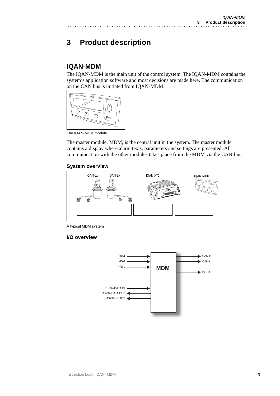# **3 Product description**

## **IQAN-MDM**

The IQAN-MDM is the main unit of the control system. The IQAN-MDM contains the system's application software and most decisions are made here. The communication on the CAN bus is initiated from IQAN-MDM.



The IQAN-MDM module.

The master module, MDM, is the central unit in the system. The master module contains a display where alarm texts, parameters and settings are presented. All communication with the other modules takes place from the MDM via the CAN-bus.

## **System overview**



A typical MDM system

## **I/O overview**

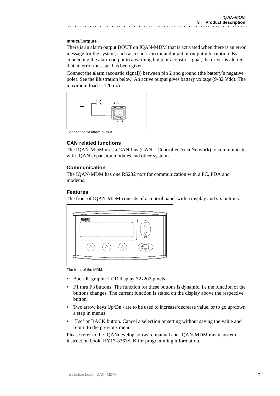#### **Inputs/Outputs**

There is an alarm output DOUT on IQAN-MDM that is activated when there is an error message for the system, such as a short-circuit and input or output interruption. By connecting the alarm output to a warning lamp or acoustic signal, the driver is alerted that an error message has been given.

Connect the alarm (acoustic signal)) between pin 2 and ground (the battery's negative pole). See the illustration below. An active output gives battery voltage (9-32 Vdc). The maximum load is 120 mA.



Connection of alarm output.

### **CAN related functions**

The IQAN-MDM uses a CAN-bus (CAN = Controller Area Network) to communicate with IQAN expansion modules and other systems.

#### **Communication**

The IQAN-MDM has one RS232 port for communication with a PC, PDA and modems.

#### **Features**

The front of IQAN-MDM consists of a control panel with a display and six buttons.

| by Parker |    |       | UP              |
|-----------|----|-------|-----------------|
|           |    |       |                 |
|           |    |       | DN              |
|           |    |       |                 |
| F1        | F2 | $F_3$ | ES <sub>(</sub> |

The front of the MDM.

- Back-lit graphic LCD display 32x202 pixels.
- F1 thru F3 buttons. The function for these buttons is dynamic, i.e the function of the buttons changes. The current function is stated on the display above the respective button.
- Two arrow keys Up/Dn are to be used to increase/decrease value, or to go up/down a step in menus.
- 'Esc' or BACK button. Cancel a selection or setting without saving the value and return to the previous menu.

Please refer to the IQANdevelop software manual and IQAN-MDM menu system instruction book, HY17-8363/UK for programming information.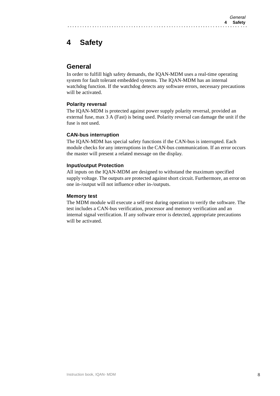# **4 Safety**

## **General**

In order to fulfill high safety demands, the IQAN-MDM uses a real-time operating system for fault tolerant embedded systems. The IQAN-MDM has an internal watchdog function. If the watchdog detects any software errors, necessary precautions will be activated.

### **Polarity reversal**

The IQAN-MDM is protected against power supply polarity reversal, provided an external fuse, max 3 A (Fast) is being used. Polarity reversal can damage the unit if the fuse is not used.

### **CAN-bus interruption**

The IQAN-MDM has special safety functions if the CAN-bus is interrupted. Each module checks for any interruptions in the CAN-bus communication. If an error occurs the master will present a related message on the display.

### **Input/output Protection**

All inputs on the IQAN-MDM are designed to withstand the maximum specified supply voltage. The outputs are protected against short circuit. Furthermore, an error on one in-/output will not influence other in-/outputs.

### **Memory test**

The MDM module will execute a self-test during operation to verify the software. The test includes a CAN-bus verification, processor and memory verification and an internal signal verification. If any software error is detected, appropriate precautions will be activated.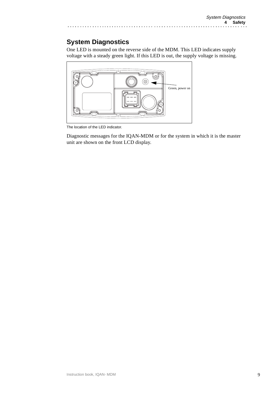# **System Diagnostics**

One LED is mounted on the reverse side of the MDM. This LED indicates supply voltage with a steady green light. If this LED is out, the supply voltage is missing.



. . . . .

The location of the LED indicator.

Diagnostic messages for the IQAN-MDM or for the system in which it is the master unit are shown on the front LCD display.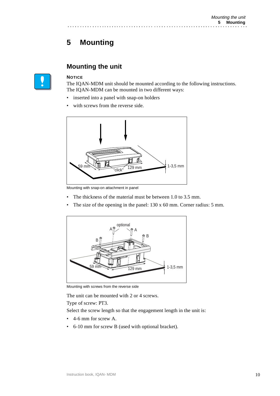# **5 Mounting**

## **Mounting the unit**

### **NOTICE**

The IQAN-MDM unit should be mounted according to the following instructions. The IQAN-MDM can be mounted in two different ways:

- inserted into a panel with snap-on holders
- with screws from the reverse side.



Mounting with snap-on attachment in panel

- The thickness of the material must be between 1.0 to 3.5 mm.
- The size of the opening in the panel: 130 x 60 mm. Corner radius: 5 mm.



Mounting with screws from the reverse side

The unit can be mounted with 2 or 4 screws. Type of screw: PT3.

Select the screw length so that the engagement length in the unit is:

- 4-6 mm for screw A.
- 6-10 mm for screw B (used with optional bracket).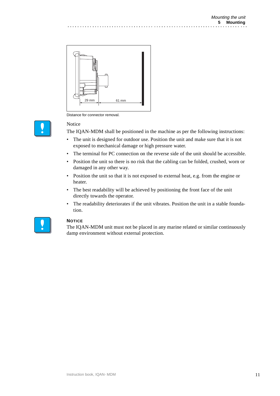

Distance for connector removal.

### Notice

The IQAN-MDM shall be positioned in the machine as per the following instructions:

- The unit is designed for outdoor use. Position the unit and make sure that it is not exposed to mechanical damage or high pressure water.
- The terminal for PC connection on the reverse side of the unit should be accessible.
- Position the unit so there is no risk that the cabling can be folded, crushed, worn or damaged in any other way.
- Position the unit so that it is not exposed to external heat, e.g. from the engine or heater.
- The best readability will be achieved by positioning the front face of the unit directly towards the operator.
- The readability deteriorates if the unit vibrates. Position the unit in a stable foundation.



### **NOTICE**

The IQAN-MDM unit must not be placed in any marine related or similar continuously damp environment without external protection.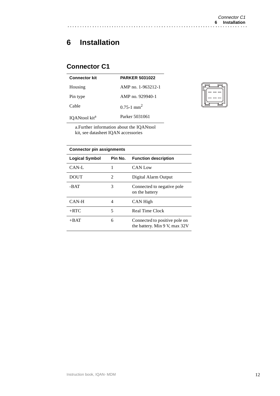# **6 Installation**

# **Connector C1**

| <b>Connector kit</b>      | <b>PARKER 5031022</b>      |
|---------------------------|----------------------------|
| Housing                   | AMP no. 1-963212-1         |
| Pin type                  | AMP no. 929940-1           |
| Cable                     | $0.75 - 1$ mm <sup>2</sup> |
| IQANtool kit <sup>a</sup> | Parker 5031061             |
|                           |                            |



a.Further information about the IQANtool kit, see datasheet IQAN accessories

### **Connector pin assignments**

| <b>Logical Symbol</b> | Pin No.        | <b>Function description</b>                                    |
|-----------------------|----------------|----------------------------------------------------------------|
| $CAN-I$ .             |                | CAN Low                                                        |
| DOUT                  | $\mathfrak{D}$ | Digital Alarm Output                                           |
| $-BAT$                | 3              | Connected to negative pole<br>on the battery                   |
| CAN-H                 | 4              | CAN High                                                       |
| $+$ RTC               | 5              | Real Time Clock                                                |
| $+BAT$                | 6              | Connected to positive pole on<br>the battery. Min 9 V, max 32V |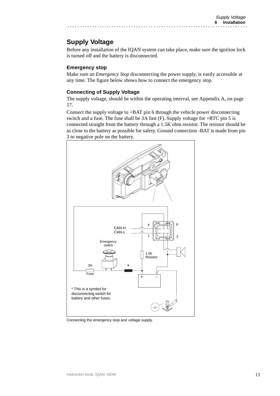# **Supply Voltage**

Before any installation of the IQAN system can take place, make sure the ignition lock is turned off and the battery is disconnected.

### **Emergency stop**

Make sure an *Emergency Stop* disconnecting the power supply, is easily accessible at any time. The figure below shows how to connect the emergency stop.

### **Connecting of Supply Voltage**

The supply voltage, should be within the operating interval, [see Appendix A, on page](#page-16-0)  [17.](#page-16-0)

Connect the supply voltage to +BAT pin 6 through the vehicle power disconnecting switch and a fuse. The fuse shall be 3A fast (F). Supply voltage for +RTC pin 5 is connected straight from the battery through a 1.5K ohm resistor. The resistor should be as close to the battery as possible for safety. Ground connection -BAT is made from pin 3 to negative pole on the battery.



Connecting the emergency stop and voltage supply.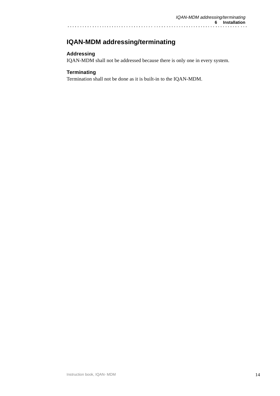# **IQAN-MDM addressing/terminating**

## **Addressing**

IQAN-MDM shall not be addressed because there is only one in every system.

### **Terminating**

Termination shall not be done as it is built-in to the IQAN-MDM.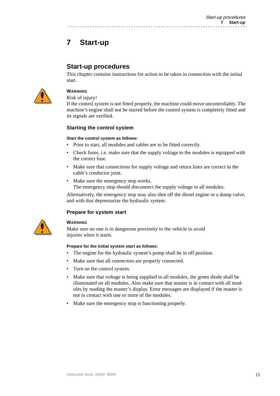# **7 Start-up**

## **Start-up procedures**

This chapter contains instructions for action to be taken in connection with the initial start.



## **WARNING**

Risk of injury!

If the control system is not fitted properly, the machine could move uncontrollably. The machine's engine shall not be started before the control system is completely fitted and its signals are verified.

### **Starting the control system**

#### **Start the control system as follows:**

- Prior to start, all modules and cables are to be fitted correctly.
- Check fuses, i.e. make sure that the supply voltage to the modules is equipped with the correct fuse.
- Make sure that connections for supply voltage and return lines are correct in the cable's conductor joint.
- Make sure the emergency stop works. The emergency stop should disconnect the supply voltage to all modules.

Alternatively, the emergency stop may also shut off the diesel engine or a dump valve, and with that depressurize the hydraulic system.

### **Prepare for system start**



### **WARNING**

Make sure no one is in dangerous proximity to the vehicle to avoid injuries when it starts.

#### **Prepare for the initial system start as follows:**

- The engine for the hydraulic system's pump shall be in off position.
- Make sure that all connectors are properly connected.
- Turn on the control system.
- Make sure that voltage is being supplied to all modules, the green diode shall be illuminated on all modules. Also make sure that master is in contact with all modules by reading the master's display. Error messages are displayed if the master is not in contact with one or more of the modules.
- Make sure the emergency stop is functioning properly.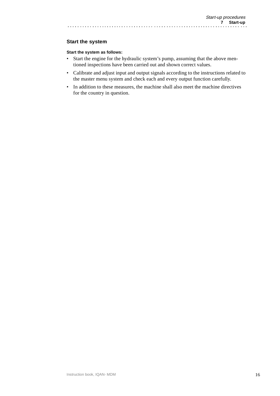### **Start the system**

#### **Start the system as follows:**

• Start the engine for the hydraulic system's pump, assuming that the above mentioned inspections have been carried out and shown correct values.

- Calibrate and adjust input and output signals according to the instructions related to the master menu system and check each and every output function carefully.
- In addition to these measures, the machine shall also meet the machine directives for the country in question.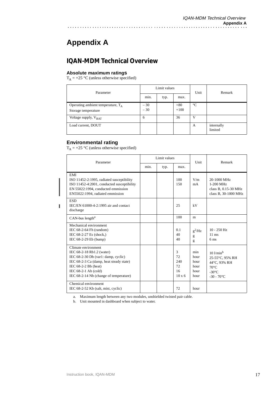# **Appendix A**

<span id="page-16-0"></span> $\ddot{\phantom{a}}$ 

# **IQAN-MDM Technical Overview**

### **Absolute maximum ratings**

 $T_A = +25$  °C (unless otherwise specified)

| Parameter                                                   | Limit values   |      |                 | Unit            | Remark                |
|-------------------------------------------------------------|----------------|------|-----------------|-----------------|-----------------------|
|                                                             | $\sim$<br>min. | typ. | max.            |                 |                       |
| Operating ambient temperature, $T_A$<br>Storage temperature | $-30$<br>$-30$ |      | $+80$<br>$+100$ | $\rm ^{\circ}C$ |                       |
| Voltage supply, $V_{BAT}$                                   | 6              |      | 36              | v               |                       |
| Load current, DOUT                                          |                |      |                 | А               | internally<br>limited |

### **Environmental rating**

I

 $T_A$  = +25 °C (unless otherwise specified)

| Parameter                                                                                                                                                                                                                        | Limit values |      |                                             | Unit                                        | Remark                                                                                                                 |
|----------------------------------------------------------------------------------------------------------------------------------------------------------------------------------------------------------------------------------|--------------|------|---------------------------------------------|---------------------------------------------|------------------------------------------------------------------------------------------------------------------------|
|                                                                                                                                                                                                                                  | min.         | typ. | max.                                        |                                             |                                                                                                                        |
| EMI<br>ISO 11452-2:1995, radiated susceptibility<br>ISO 11452-4:2001, conducted susceptibility<br>EN 55022:1994, conducted emmission<br>EN55022:1994, radiated emmission                                                         |              |      | 100<br>150                                  | V/m<br>mA                                   | 20-1000 MHz<br>1-200 MHz<br>class B, 0.15-30 MHz<br>class B, 30-1000 MHz                                               |
| <b>ESD</b><br>IEC/EN 61000-4-2:1995 air and contact<br>discharge                                                                                                                                                                 |              |      | 25                                          | kV                                          |                                                                                                                        |
| $CAN$ -bus length <sup>a</sup>                                                                                                                                                                                                   |              |      | 100                                         | m                                           |                                                                                                                        |
| Mechanical environment<br>IEC 68-2-64 Fh (random)<br>IEC 68-2-27 Es (shock,)<br>IEC 68-2-29 Eb (bump)                                                                                                                            |              |      | 0.1<br>40<br>40                             | $g^2/Hz$<br>g<br>g                          | $10 - 250$ Hz<br>$11 \text{ ms}$<br>6 <sub>ms</sub>                                                                    |
| Climate environment<br>IEC 68-2-18 Rb1.2 (water)<br>IEC 68-2-30 Db (var1: damp, cyclic)<br>IEC 68-2-3 Ca (damp, heat steady state)<br>IEC 68-2-2 Bb (heat)<br>IEC $68-2-1$ Ab $(cold)$<br>IEC 68-2-14 Nb (change of temperature) |              |      | 3<br>72<br>240<br>72<br>16<br>$10 \times 6$ | min<br>hour<br>hour<br>hour<br>hour<br>hour | $10$ l/min <sup>b</sup><br>25-55°C, 95% RH<br>44°C, 93% RH<br>$70^{\circ}$ C<br>$-30^{\circ}$ C<br>$-30 - 70^{\circ}C$ |
| Chemical environment<br>IEC 68-2-52 Kb (salt, mist, cyclic)                                                                                                                                                                      |              |      | 72                                          | hour                                        |                                                                                                                        |

a. Maximum length between any two modules, unshielded twisted pair cable.

b. Unit mounted in dashboard when subject to water.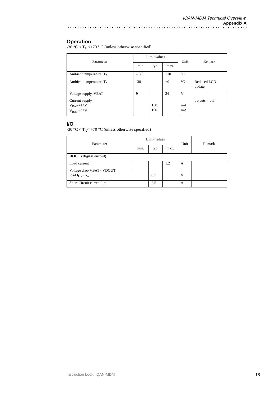### **Operation**

-30 °C <  $T_A$  <+70 ° C (unless otherwise specified)

| Parameter                  | Limit values |      |       | Unit            | Remark                |
|----------------------------|--------------|------|-------|-----------------|-----------------------|
|                            | min.         | typ. | max.  |                 |                       |
| Ambient temperature, $T_A$ | $-30$        |      | $+70$ | $\rm ^{\circ}C$ |                       |
| Ambient temperature, $T_A$ | $-30$        |      | $+0$  | $\rm ^{\circ}C$ | Reduced LCD<br>update |
| Voltage supply, VBAT       | 9            |      | 34    | V               |                       |
| Current supply             |              |      |       |                 | $outputs = off$       |
| $V_{BAT} = 14V$            |              | 180  |       | mA              |                       |
| $V_{BAT} = 28V$            |              | 100  |       | mA              |                       |

#### **I/O**

-30 °C < T<sub>A</sub>< +70 °C (unless otherwise specified)

| Parameter                                      | Limit values |      |      | Unit | Remark |
|------------------------------------------------|--------------|------|------|------|--------|
|                                                | min.         | typ. | max. |      |        |
| <b>DOUT</b> (Digital output)                   |              |      |      |      |        |
| Load current                                   |              |      | 1.2  | А    |        |
| Voltage drop VBAT - VDOUT<br>load $I_{L=1.2A}$ |              | 0.7  |      | V    |        |
| Short Circuit current limit                    |              | 2.5  |      | А    |        |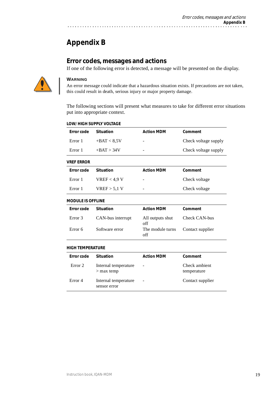# **Appendix B**

## **Error codes, messages and actions**

If one of the following error is detected, a message will be presented on the display.



### **WARNING**

An error message could indicate that a hazardous situation exists. If precautions are not taken, this could result in death, serious injury or major property damage.

The following sections will present what measures to take for different error situations put into appropriate context.

| <b>Error code</b>        | <b>Situation</b>                     | <b>Action MDM</b>       | Comment                      |
|--------------------------|--------------------------------------|-------------------------|------------------------------|
| Error 1                  | $+BAT < 8.5V$                        |                         | Check voltage supply         |
| Error 1                  | $+BAT > 34V$                         |                         | Check voltage supply         |
| <b>VREF ERROR</b>        |                                      |                         |                              |
| Error code               | <b>Situation</b>                     | <b>Action MDM</b>       | Comment                      |
| Error 1                  | VREF <sub>4,9</sub> V                |                         | Check voltage                |
| Error 1                  | $VREF$ > 5,1 V                       |                         | Check voltage                |
| <b>MODULE IS OFFLINE</b> |                                      |                         |                              |
| Error code               | <b>Situation</b>                     | <b>Action MDM</b>       | Comment                      |
| Error 3                  | CAN-bus interrupt                    | All outputs shut<br>off | Check CAN-bus                |
| Error 6                  | Software error                       | The module turns<br>off | Contact supplier             |
| <b>HIGH TEMPERATURE</b>  |                                      |                         |                              |
| Error code               | <b>Situation</b>                     | <b>Action MDM</b>       | Comment                      |
| Error <sub>2</sub>       | Internal temperature<br>$>$ max temp |                         | Check ambient<br>temperature |
| Error <sub>4</sub>       | Internal temperature<br>sensor error |                         | Contact supplier             |
|                          |                                      |                         |                              |

### **LOW/ HIGH SUPPLY VOLTAGE**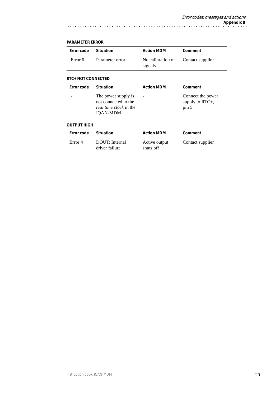#### **RTC+ NOT CONNECTED OUTPUT HIGH Error code** Situation **Action MDM** Comment Error 6 Parameter error No calibration of signals Contact supplier **Error code** Situation **Action MDM** Comment - The power supply is not connected to the *real time clock* in the IQAN-MDM - Connect the power supply to RTC+, pin 5. **Error code** Situation **Action MDM** Comment Error 4 DOUT: Internal driver failure Active output shuts off Contact supplier

. . . . . . . . . . . . . . . .

#### **PARAMETER ERROR**

. . . . . . . . . . . . . . . . . .

 $\ddot{\phantom{0}}$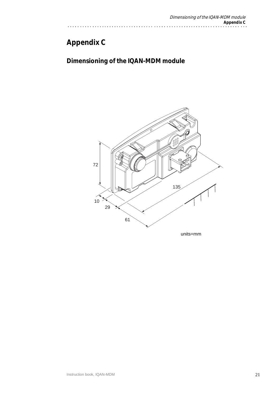# **Appendix C**

# **Dimensioning of the IQAN-MDM module**